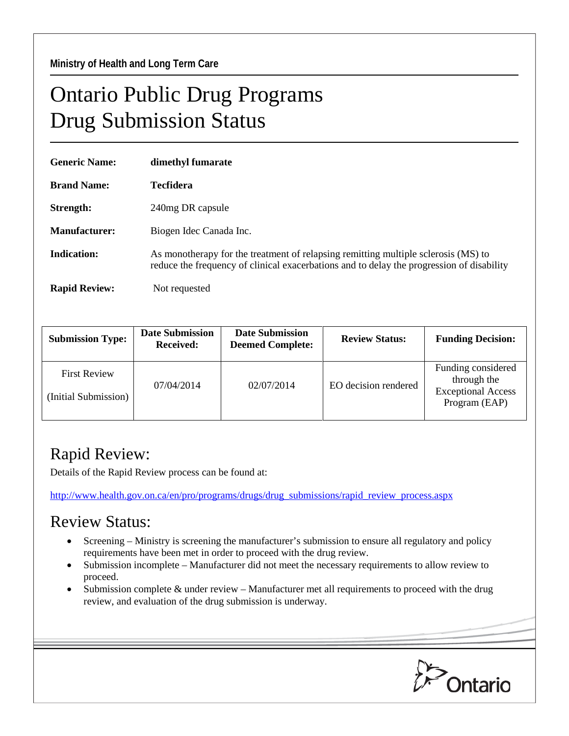## Ontario Public Drug Programs Drug Submission Status

| <b>Generic Name:</b> | dimethyl fumarate                                                                                                                                                               |  |  |
|----------------------|---------------------------------------------------------------------------------------------------------------------------------------------------------------------------------|--|--|
| <b>Brand Name:</b>   | <b>Tecfidera</b>                                                                                                                                                                |  |  |
| Strength:            | 240mg DR capsule                                                                                                                                                                |  |  |
| Manufacturer:        | Biogen Idec Canada Inc.                                                                                                                                                         |  |  |
| Indication:          | As monotherapy for the treatment of relapsing remitting multiple sclerosis (MS) to<br>reduce the frequency of clinical exacerbations and to delay the progression of disability |  |  |
| <b>Rapid Review:</b> | Not requested                                                                                                                                                                   |  |  |

| <b>Submission Type:</b>                     | <b>Date Submission</b><br><b>Received:</b> | <b>Date Submission</b><br><b>Deemed Complete:</b> | <b>Review Status:</b> | <b>Funding Decision:</b>                                                        |
|---------------------------------------------|--------------------------------------------|---------------------------------------------------|-----------------------|---------------------------------------------------------------------------------|
| <b>First Review</b><br>(Initial Submission) | 07/04/2014                                 | 02/07/2014                                        | EO decision rendered  | Funding considered<br>through the<br><b>Exceptional Access</b><br>Program (EAP) |

## Rapid Review:

Details of the Rapid Review process can be found at:

[http://www.health.gov.on.ca/en/pro/programs/drugs/drug\\_submissions/rapid\\_review\\_process.aspx](http://www.health.gov.on.ca/en/pro/programs/drugs/drug_submissions/rapid_review_process.aspx)

## Review Status:

- Screening Ministry is screening the manufacturer's submission to ensure all regulatory and policy requirements have been met in order to proceed with the drug review.
- Submission incomplete Manufacturer did not meet the necessary requirements to allow review to proceed.
- Submission complete  $&$  under review Manufacturer met all requirements to proceed with the drug review, and evaluation of the drug submission is underway.